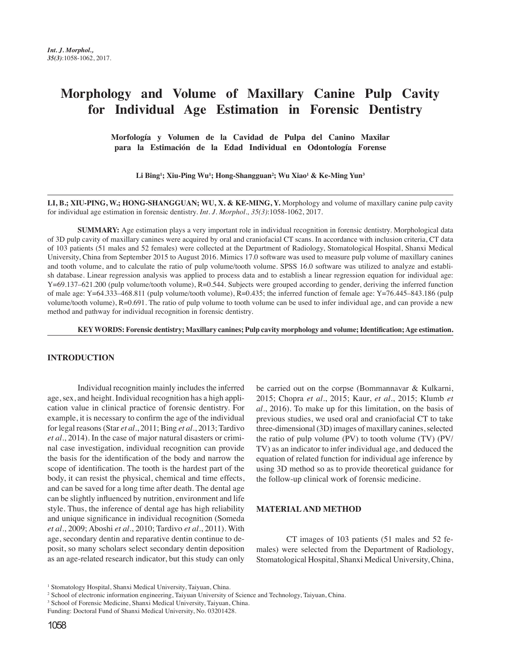# **Morphology and Volume of Maxillary Canine Pulp Cavity for Individual Age Estimation in Forensic Dentistry**

**Morfología y Volumen de la Cavidad de Pulpa del Canino Maxilar para la Estimación de la Edad Individual en Odontología Forense**

**Li Bing1 ; Xiu-Ping Wu1 ; Hong-Shangguan2 ; Wu Xiao1 & Ke-Ming Yun3**

LI, B.; XIU-PING, W.; HONG-SHANGGUAN; WU, X. & KE-MING, Y. Morphology and volume of maxillary canine pulp cavity for individual age estimation in forensic dentistry. *Int. J. Morphol., 35(3)*:1058-1062, 2017.

**SUMMARY:** Age estimation plays a very important role in individual recognition in forensic dentistry. Morphological data of 3D pulp cavity of maxillary canines were acquired by oral and craniofacial CT scans. In accordance with inclusion criteria, CT data of 103 patients (51 males and 52 females) were collected at the Department of Radiology, Stomatological Hospital, Shanxi Medical University, China from September 2015 to August 2016. Mimics 17.0 software was used to measure pulp volume of maxillary canines and tooth volume, and to calculate the ratio of pulp volume/tooth volume. SPSS 16.0 software was utilized to analyze and establish database. Linear regression analysis was applied to process data and to establish a linear regression equation for individual age: Y=69.137–621.200 (pulp volume/tooth volume), R=0.544. Subjects were grouped according to gender, deriving the inferred function of male age: Y=64.333–468.811 (pulp volume/tooth volume), R=0.435; the inferred function of female age: Y=76.445–843.186 (pulp volume/tooth volume), R=0.691. The ratio of pulp volume to tooth volume can be used to infer individual age, and can provide a new method and pathway for individual recognition in forensic dentistry.

**KEY WORDS: Forensic dentistry; Maxillary canines; Pulp cavity morphology and volume; Identification; Age estimation.** 

#### **INTRODUCTION**

Individual recognition mainly includes the inferred age, sex, and height. Individual recognition has a high application value in clinical practice of forensic dentistry. For example, it is necessary to confirm the age of the individual for legal reasons (Star *et al*., 2011; Bing *et al*., 2013; Tardivo *et al*., 2014). In the case of major natural disasters or criminal case investigation, individual recognition can provide the basis for the identification of the body and narrow the scope of identification. The tooth is the hardest part of the body, it can resist the physical, chemical and time effects, and can be saved for a long time after death. The dental age can be slightly influenced by nutrition, environment and life style. Thus, the inference of dental age has high reliability and unique significance in individual recognition (Someda *et al*., 2009; Aboshi *et al*., 2010; Tardivo *et al*., 2011). With age, secondary dentin and reparative dentin continue to deposit, so many scholars select secondary dentin deposition as an age-related research indicator, but this study can only be carried out on the corpse (Bommannavar & Kulkarni, 2015; Chopra *et al*., 2015; Kaur, *et al*., 2015; Klumb *et al*., 2016). To make up for this limitation, on the basis of previous studies, we used oral and craniofacial CT to take three-dimensional (3D) images of maxillary canines, selected the ratio of pulp volume (PV) to tooth volume (TV) (PV/ TV) as an indicator to infer individual age, and deduced the equation of related function for individual age inference by using 3D method so as to provide theoretical guidance for the follow-up clinical work of forensic medicine.

#### **MATERIAL AND METHOD**

CT images of 103 patients (51 males and 52 females) were selected from the Department of Radiology, Stomatological Hospital, Shanxi Medical University, China,

<sup>&</sup>lt;sup>1</sup> Stomatology Hospital, Shanxi Medical University, Taiyuan, China.

<sup>2</sup> School of electronic information engineering, Taiyuan University of Science and Technology, Taiyuan, China.

<sup>&</sup>lt;sup>3</sup> School of Forensic Medicine, Shanxi Medical University, Taiyuan, China.

Funding: Doctoral Fund of Shanxi Medical University, No. 03201428.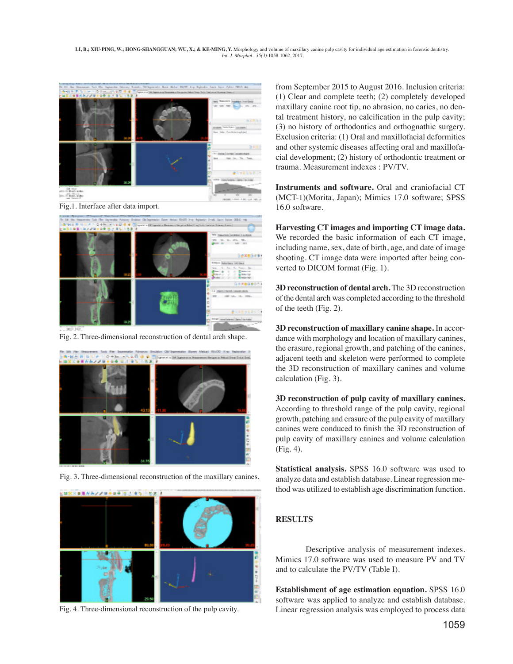

Fig.1. Interface after data import.



Fig. 2. Three-dimensional reconstruction of dental arch shape.



Fig. 3. Three-dimensional reconstruction of the maxillary canines.



Fig. 4. Three-dimensional reconstruction of the pulp cavity.

from September 2015 to August 2016. Inclusion criteria: (1) Clear and complete teeth; (2) completely developed maxillary canine root tip, no abrasion, no caries, no dental treatment history, no calcification in the pulp cavity; (3) no history of orthodontics and orthognathic surgery. Exclusion criteria: (1) Oral and maxillofacial deformities and other systemic diseases affecting oral and maxillofacial development; (2) history of orthodontic treatment or trauma. Measurement indexes : PV/TV.

**Instruments and software.** Oral and craniofacial CT (MCT-1)(Morita, Japan); Mimics 17.0 software; SPSS 16.0 software.

**Harvesting CT images and importing CT image data.** We recorded the basic information of each CT image, including name, sex, date of birth, age, and date of image shooting. CT image data were imported after being converted to DICOM format (Fig. 1).

**3D reconstruction of dental arch.** The 3D reconstruction of the dental arch was completed according to the threshold of the teeth (Fig. 2).

**3D reconstruction of maxillary canine shape.** In accordance with morphology and location of maxillary canines, the erasure, regional growth, and patching of the canines, adjacent teeth and skeleton were performed to complete the 3D reconstruction of maxillary canines and volume calculation (Fig. 3).

**3D reconstruction of pulp cavity of maxillary canines.** According to threshold range of the pulp cavity, regional growth, patching and erasure of the pulp cavity of maxillary canines were conduced to finish the 3D reconstruction of pulp cavity of maxillary canines and volume calculation (Fig. 4).

**Statistical analysis.** SPSS 16.0 software was used to analyze data and establish database. Linear regression method was utilized to establish age discrimination function.

## **RESULTS**

Descriptive analysis of measurement indexes. Mimics 17.0 software was used to measure PV and TV and to calculate the PV/TV (Table I).

**Establishment of age estimation equation.** SPSS 16.0 software was applied to analyze and establish database. Linear regression analysis was employed to process data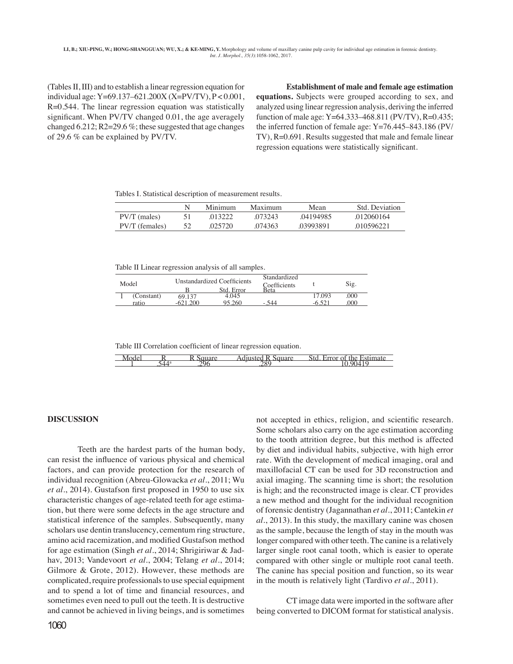(Tables II, III) and to establish a linear regression equation for individual age: Y=69.137–621.200X (X=PV/TV), P < 0.001, R=0.544. The linear regression equation was statistically significant. When PV/TV changed 0.01, the age averagely changed  $6.212$ ; R2=29.6 %; these suggested that age changes of 29.6 % can be explained by PV/TV.

**Establishment of male and female age estimation equations.** Subjects were grouped according to sex, and analyzed using linear regression analysis, deriving the inferred function of male age:  $Y=64.333-468.811$  (PV/TV), R=0.435; the inferred function of female age: Y=76.445–843.186 (PV/ TV), R=0.691. Results suggested that male and female linear regression equations were statistically significant.

Tables I. Statistical description of measurement results.

|                | Minimum | Maximum | Mean      | Std. Deviation |
|----------------|---------|---------|-----------|----------------|
| $PV/T$ (males) | 013222  | 073243  | 04194985  | 012060164      |
| PV/T (females) | 025720  | 074363  | .03993891 | 010596221      |

Table II Linear regression analysis of all samples.

| Model |            | Unstandardized Coefficients |            | Standardized<br>Coefficients |       | Sig. |
|-------|------------|-----------------------------|------------|------------------------------|-------|------|
|       |            |                             | Std. Error | Beta                         |       |      |
|       | (Constant) | 69.137                      | 4.045      |                              | 7.093 | .000 |
|       | ratio      |                             | 95.260     | - 544                        |       | 000  |

Table III Correlation coefficient of linear regression equation.

| л. | - | $\sim$ $\sim$ | $\overline{\phantom{a}}$<br>-<br>ne |
|----|---|---------------|-------------------------------------|
|    |   |               |                                     |

### **DISCUSSION**

Teeth are the hardest parts of the human body, can resist the influence of various physical and chemical factors, and can provide protection for the research of individual recognition (Abreu-Glowacka *et al*., 2011; Wu *et al*., 2014). Gustafson first proposed in 1950 to use six characteristic changes of age-related teeth for age estimation, but there were some defects in the age structure and statistical inference of the samples. Subsequently, many scholars use dentin translucency, cementum ring structure, amino acid racemization, and modified Gustafson method for age estimation (Singh *et al*., 2014; Shrigiriwar & Jadhav, 2013; Vandevoort *et al*., 2004; Telang *et al*., 2014; Gilmore & Grote, 2012). However, these methods are complicated, require professionals to use special equipment and to spend a lot of time and financial resources, and sometimes even need to pull out the teeth. It is destructive and cannot be achieved in living beings, and is sometimes

not accepted in ethics, religion, and scientific research. Some scholars also carry on the age estimation according to the tooth attrition degree, but this method is affected by diet and individual habits, subjective, with high error rate. With the development of medical imaging, oral and maxillofacial CT can be used for 3D reconstruction and axial imaging. The scanning time is short; the resolution is high; and the reconstructed image is clear. CT provides a new method and thought for the individual recognition of forensic dentistry (Jagannathan *et al*., 2011; Cantekin *et al*., 2013). In this study, the maxillary canine was chosen as the sample, because the length of stay in the mouth was longer compared with other teeth. The canine is a relatively larger single root canal tooth, which is easier to operate compared with other single or multiple root canal teeth. The canine has special position and function, so its wear in the mouth is relatively light (Tardivo *et al*., 2011).

CT image data were imported in the software after being converted to DICOM format for statistical analysis.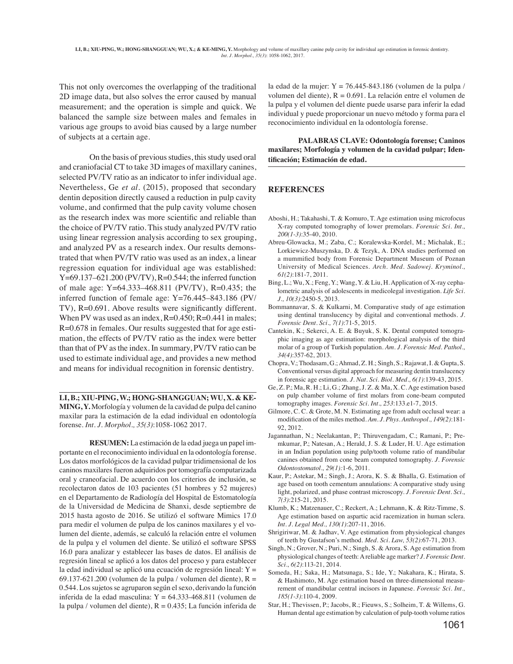This not only overcomes the overlapping of the traditional 2D image data, but also solves the error caused by manual measurement; and the operation is simple and quick. We balanced the sample size between males and females in various age groups to avoid bias caused by a large number of subjects at a certain age.

On the basis of previous studies, this study used oral and craniofacial CT to take 3D images of maxillary canines, selected PV/TV ratio as an indicator to infer individual age. Nevertheless, Ge *et al*. (2015), proposed that secondary dentin deposition directly caused a reduction in pulp cavity volume, and confirmed that the pulp cavity volume chosen as the research index was more scientific and reliable than the choice of PV/TV ratio. This study analyzed PV/TV ratio using linear regression analysis according to sex grouping, and analyzed PV as a research index. Our results demonstrated that when PV/TV ratio was used as an index, a linear regression equation for individual age was established:  $Y=69.137-621.200$  (PV/TV),  $R=0.544$ ; the inferred function of male age: Y=64.333–468.811 (PV/TV), R=0.435; the inferred function of female age: Y=76.445–843.186 (PV/ TV), R=0.691. Above results were significantly different. When PV was used as an index, R=0.450; R=0.441 in males; R=0.678 in females. Our results suggested that for age estimation, the effects of PV/TV ratio as the index were better than that of PV as the index. In summary, PV/TV ratio can be used to estimate individual age, and provides a new method and means for individual recognition in forensic dentistry.

**LI, B.; XIU-PING, W.; HONG-SHANGGUAN; WU, X. & KE-MING, Y.** Morfología y volumen de la cavidad de pulpa del canino maxilar para la estimación de la edad individual en odontología forense. *Int. J. Morphol., 35(3)*:1058-1062 2017.

**RESUMEN:** La estimación de la edad juega un papel importante en el reconocimiento individual en la odontología forense. Los datos morfológicos de la cavidad pulpar tridimensional de los caninos maxilares fueron adquiridos por tomografía computarizada oral y craneofacial. De acuerdo con los criterios de inclusión, se recolectaron datos de 103 pacientes (51 hombres y 52 mujeres) en el Departamento de Radiología del Hospital de Estomatología de la Universidad de Medicina de Shanxi, desde septiembre de 2015 hasta agosto de 2016. Se utilizó el software Mimics 17.0 para medir el volumen de pulpa de los caninos maxilares y el volumen del diente, además, se calculó la relación entre el volumen de la pulpa y el volumen del diente. Se utilizó el software SPSS 16.0 para analizar y establecer las bases de datos. El análisis de regresión lineal se aplicó a los datos del proceso y para establecer la edad individual se aplicó una ecuación de regresión lineal: Y = 69.137-621.200 (volumen de la pulpa / volumen del diente),  $R =$ 0.544. Los sujetos se agruparon según el sexo, derivando la función inferida de la edad masculina:  $Y = 64.333 - 468.811$  (volumen de la pulpa / volumen del diente),  $R = 0.435$ ; La función inferida de

la edad de la mujer:  $Y = 76.445 - 843.186$  (volumen de la pulpa / volumen del diente), R = 0.691. La relación entre el volumen de la pulpa y el volumen del diente puede usarse para inferir la edad individual y puede proporcionar un nuevo método y forma para el reconocimiento individual en la odontología forense.

**PALABRAS CLAVE: Odontología forense; Caninos maxilares; Morfología y volumen de la cavidad pulpar; Identificación; Estimación de edad.**

## **REFERENCES**

- Aboshi, H.; Takahashi, T. & Komuro, T. Age estimation using microfocus X-ray computed tomography of lower premolars. *Forensic Sci. Int., 200(1-3)*:35-40, 2010.
- Abreu-Glowacka, M.; Zaba, C.; Koralewska-Kordel, M.; Michalak, E.; Lorkiewicz-Muszynska, D. & Tezyk, A. DNA studies performed on a mummified body from Forensic Department Museum of Poznan University of Medical Sciences. *Arch. Med. Sadowej. Kryminol., 61(2)*:181-7, 2011.
- Bing, L.; Wu, X.; Feng, Y.; Wang, Y. & Liu, H. Application of X-ray cephalometric analysis of adolescents in medicolegal investigation. *Life Sci. J., 10(3)*:2450-5, 2013.
- Bommannavar, S. & Kulkarni, M. Comparative study of age estimation using dentinal translucency by digital and conventional methods. *J. Forensic Dent. Sci., 7(1)*:71-5, 2015.
- Cantekin, K.; Sekerci, A. E. & Buyuk, S. K. Dental computed tomographic imaging as age estimation: morphological analysis of the third molar of a group of Turkish population. *Am. J. Forensic Med. Pathol., 34(4)*:357-62, 2013.
- Chopra, V.; Thodasam, G.; Ahmad, Z. H.; Singh, S.; Rajawat, I. & Gupta, S. Conventional versus digital approach for measuring dentin translucency in forensic age estimation. *J. Nat. Sci. Biol. Med., 6(1)*:139-43, 2015.
- Ge, Z. P.; Ma, R. H.; Li, G.; Zhang, J. Z. & Ma, X. C. Age estimation based on pulp chamber volume of first molars from cone-beam computed tomography images. *Forensic Sci. Int., 253*:133.e1-7, 2015.
- Gilmore, C. C. & Grote, M. N. Estimating age from adult occlusal wear: a modification of the miles method. *Am. J. Phys. Anthropol., 149(2)*:181- 92, 2012.
- Jagannathan, N.; Neelakantan, P.; Thiruvengadam, C.; Ramani, P.; Premkumar, P.; Natesan, A.; Herald, J. S. & Luder, H. U. Age estimation in an Indian population using pulp/tooth volume ratio of mandibular canines obtained from cone beam computed tomography. *J. Forensic Odontostomatol., 29(1):*1-6, 2011.
- Kaur, P.; Astekar, M.; Singh, J.; Arora, K. S. & Bhalla, G. Estimation of age based on tooth cementum annulations: A comparative study using light, polarized, and phase contrast microscopy. *J. Forensic Dent. Sci., 7(3)*:215-21, 2015.
- Klumb, K.; Matzenauer, C.; Reckert, A.; Lehmann, K. & Ritz-Timme, S. Age estimation based on aspartic acid racemization in human sclera. *Int. J. Legal Med., 130(1)*:207-11, 2016.
- Shrigiriwar, M. & Jadhav, V. Age estimation from physiological changes of teeth by Gustafson's method. *Med. Sci. Law, 53(2)*:67-71, 2013.
- Singh, N.; Grover, N.; Puri, N.; Singh, S. & Arora, S. Age estimation from physiological changes of teeth: A reliable age marker? *J. Forensic Dent. Sci., 6(2)*:113-21, 2014.
- Someda, H.; Saka, H.; Matsunaga, S.; Ide, Y.; Nakahara, K.; Hirata, S. & Hashimoto, M. Age estimation based on three-dimensional measurement of mandibular central incisors in Japanese. *Forensic Sci. Int., 185(1-3)*:110-4, 2009.
- Star, H.; Thevissen, P.; Jacobs, R.; Fieuws, S.; Solheim, T. & Willems, G. Human dental age estimation by calculation of pulp-tooth volume ratios